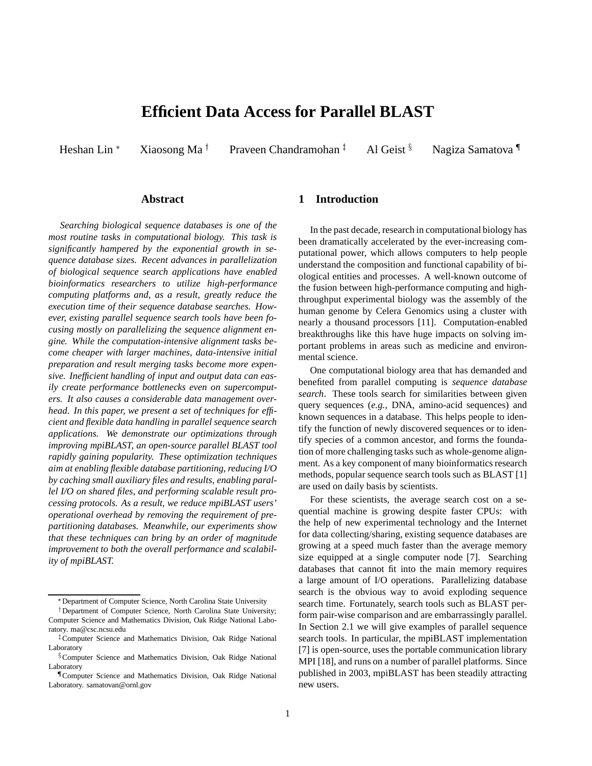# **Efficient Data Access for Parallel BLAST**

Heshan Lin<sup>\*</sup>

Xiaosong Ma $<sup>†</sup>$ </sup>

Praveen Chandramohan<sup>‡</sup>

Al Geist  $\frac{5}{3}$ Nagiza Samatova<sup>¶</sup>

# **Abstract**

*Searching biological sequence databases is one of the most routine tasks in computational biology. This task is significantly hampered by the exponential growth in sequence database sizes. Recent advances in parallelization of biological sequence search applications have enabled bioinformatics researchers to utilize high-performance computing platforms and, as a result, greatly reduce the execution time of their sequence database searches. However, existing parallel sequence search tools have been focusing mostly on parallelizing the sequence alignment engine. While the computation-intensive alignment tasks become cheaper with larger machines, data-intensive initial preparation and result merging tasks become more expensive. Inefficient handling of input and output data can easily create performance bottlenecks even on supercomputers. It also causes a considerable data management overhead. In this paper, we present a set of techniques for efficient and flexible data handling in parallel sequence search applications. We demonstrate our optimizations through improving mpiBLAST, an open-source parallel BLAST tool rapidly gaining popularity. These optimization techniques aim at enabling flexible database partitioning, reducing I/O by caching small auxiliary files and results, enabling parallel I/O on shared files, and performing scalable result processing protocols. As a result, we reduce mpiBLAST users' operational overhead by removing the requirement of prepartitioning databases. Meanwhile, our experiments show that these techniques can bring by an order of magnitude improvement to both the overall performance and scalability of mpiBLAST.*

# **1 Introduction**

In the past decade, research in computational biology has been dramatically accelerated by the ever-increasing computational power, which allows computers to help people understand the composition and functional capability of biological entities and processes. A well-known outcome of the fusion between high-performance computing and highthroughput experimental biology was the assembly of the human genome by Celera Genomics using a cluster with nearly a thousand processors [11]. Computation-enabled breakthroughs like this have huge impacts on solving important problems in areas such as medicine and environmental science.

One computational biology area that has demanded and benefited from parallel computing is *sequence database search*. These tools search for similarities between given query sequences (*e.g.*, DNA, amino-acid sequences) and known sequences in a database. This helps people to identify the function of newly discovered sequences or to identify species of a common ancestor, and forms the foundation of more challenging tasks such as whole-genome alignment. As a key component of many bioinformatics research methods, popular sequence search tools such as BLAST [1] are used on daily basis by scientists.

For these scientists, the average search cost on a sequential machine is growing despite faster CPUs: with the help of new experimental technology and the Internet for data collecting/sharing, existing sequence databases are growing at a speed much faster than the average memory size equipped at a single computer node [7]. Searching databases that cannot fit into the main memory requires a large amount of I/O operations. Parallelizing database search is the obvious way to avoid exploding sequence search time. Fortunately, search tools such as BLAST perform pair-wise comparison and are embarrassingly parallel. In Section 2.1 we will give examples of parallel sequence search tools. In particular, the mpiBLAST implementation [7] is open-source, uses the portable communication library MPI [18], and runs on a number of parallel platforms. Since published in 2003, mpiBLAST has been steadily attracting new users.

Department of Computer Science, North Carolina State University

<sup>&</sup>lt;sup>†</sup> Department of Computer Science, North Carolina State University; Computer Science and Mathematics Division, Oak Ridge National Laboratory. ma@csc.ncsu.edu

<sup>z</sup> Computer Science and Mathematics Division, Oak Ridge National Laboratory

<sup>&</sup>lt;sup>§</sup>Computer Science and Mathematics Division, Oak Ridge National Laboratory

<sup>{</sup> Computer Science and Mathematics Division, Oak Ridge National Laboratory. samatovan@ornl.gov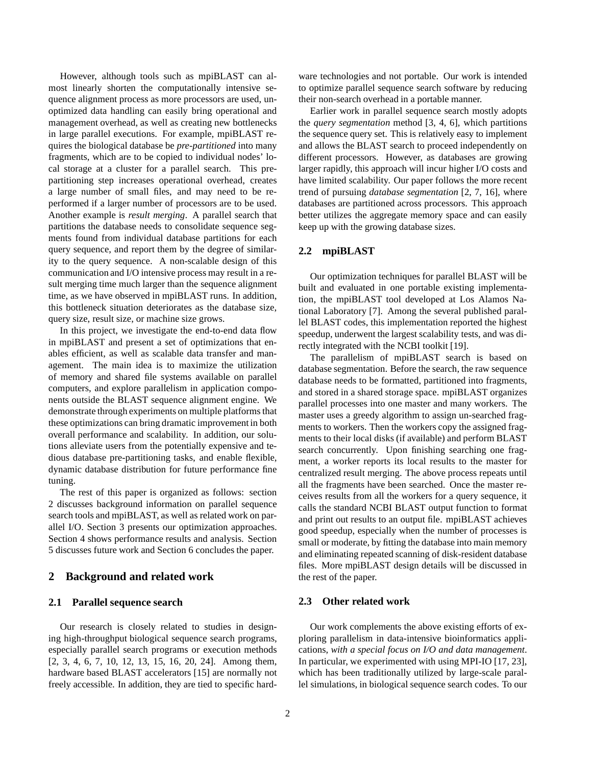However, although tools such as mpiBLAST can almost linearly shorten the computationally intensive sequence alignment process as more processors are used, unoptimized data handling can easily bring operational and management overhead, as well as creating new bottlenecks in large parallel executions. For example, mpiBLAST requires the biological database be *pre-partitioned* into many fragments, which are to be copied to individual nodes' local storage at a cluster for a parallel search. This prepartitioning step increases operational overhead, creates a large number of small files, and may need to be reperformed if a larger number of processors are to be used. Another example is *result merging*. A parallel search that partitions the database needs to consolidate sequence segments found from individual database partitions for each query sequence, and report them by the degree of similarity to the query sequence. A non-scalable design of this communication and I/O intensive process may result in a result merging time much larger than the sequence alignment time, as we have observed in mpiBLAST runs. In addition, this bottleneck situation deteriorates as the database size, query size, result size, or machine size grows.

In this project, we investigate the end-to-end data flow in mpiBLAST and present a set of optimizations that enables efficient, as well as scalable data transfer and management. The main idea is to maximize the utilization of memory and shared file systems available on parallel computers, and explore parallelism in application components outside the BLAST sequence alignment engine. We demonstrate through experiments on multiple platforms that these optimizations can bring dramatic improvement in both overall performance and scalability. In addition, our solutions alleviate users from the potentially expensive and tedious database pre-partitioning tasks, and enable flexible, dynamic database distribution for future performance fine tuning.

The rest of this paper is organized as follows: section 2 discusses background information on parallel sequence search tools and mpiBLAST, as well as related work on parallel I/O. Section 3 presents our optimization approaches. Section 4 shows performance results and analysis. Section 5 discusses future work and Section 6 concludes the paper.

# **2 Background and related work**

#### **2.1 Parallel sequence search**

Our research is closely related to studies in designing high-throughput biological sequence search programs, especially parallel search programs or execution methods [2, 3, 4, 6, 7, 10, 12, 13, 15, 16, 20, 24]. Among them, hardware based BLAST accelerators [15] are normally not freely accessible. In addition, they are tied to specific hardware technologies and not portable. Our work is intended to optimize parallel sequence search software by reducing their non-search overhead in a portable manner.

Earlier work in parallel sequence search mostly adopts the *query segmentation* method [3, 4, 6], which partitions the sequence query set. This is relatively easy to implement and allows the BLAST search to proceed independently on different processors. However, as databases are growing larger rapidly, this approach will incur higher I/O costs and have limited scalability. Our paper follows the more recent trend of pursuing *database segmentation* [2, 7, 16], where databases are partitioned across processors. This approach better utilizes the aggregate memory space and can easily keep up with the growing database sizes.

# **2.2 mpiBLAST**

Our optimization techniques for parallel BLAST will be built and evaluated in one portable existing implementation, the mpiBLAST tool developed at Los Alamos National Laboratory [7]. Among the several published parallel BLAST codes, this implementation reported the highest speedup, underwent the largest scalability tests, and was directly integrated with the NCBI toolkit [19].

The parallelism of mpiBLAST search is based on database segmentation. Before the search, the raw sequence database needs to be formatted, partitioned into fragments, and stored in a shared storage space. mpiBLAST organizes parallel processes into one master and many workers. The master uses a greedy algorithm to assign un-searched fragments to workers. Then the workers copy the assigned fragments to their local disks (if available) and perform BLAST search concurrently. Upon finishing searching one fragment, a worker reports its local results to the master for centralized result merging. The above process repeats until all the fragments have been searched. Once the master receives results from all the workers for a query sequence, it calls the standard NCBI BLAST output function to format and print out results to an output file. mpiBLAST achieves good speedup, especially when the number of processes is small or moderate, by fitting the database into main memory and eliminating repeated scanning of disk-resident database files. More mpiBLAST design details will be discussed in the rest of the paper.

# **2.3 Other related work**

Our work complements the above existing efforts of exploring parallelism in data-intensive bioinformatics applications, *with a special focus on I/O and data management*. In particular, we experimented with using MPI-IO [17, 23], which has been traditionally utilized by large-scale parallel simulations, in biological sequence search codes. To our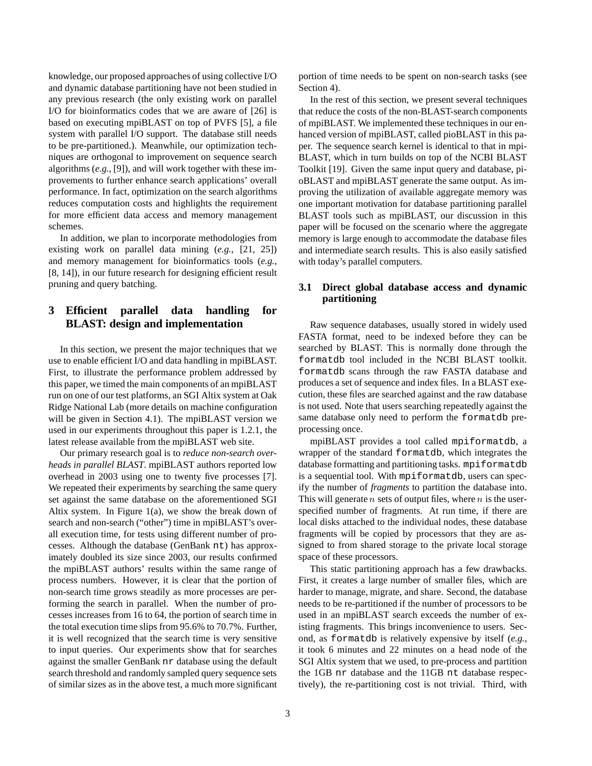knowledge, our proposed approaches of using collective I/O and dynamic database partitioning have not been studied in any previous research (the only existing work on parallel I/O for bioinformatics codes that we are aware of [26] is based on executing mpiBLAST on top of PVFS [5], a file system with parallel I/O support. The database still needs to be pre-partitioned.). Meanwhile, our optimization techniques are orthogonal to improvement on sequence search algorithms (*e.g.*, [9]), and will work together with these improvements to further enhance search applications' overall performance. In fact, optimization on the search algorithms reduces computation costs and highlights the requirement for more efficient data access and memory management schemes.

In addition, we plan to incorporate methodologies from existing work on parallel data mining (*e.g.*, [21, 25]) and memory management for bioinformatics tools (*e.g.*, [8, 14]), in our future research for designing efficient result pruning and query batching.

# **3 Efficient parallel data handling for BLAST: design and implementation**

In this section, we present the major techniques that we use to enable efficient I/O and data handling in mpiBLAST. First, to illustrate the performance problem addressed by this paper, we timed the main components of an mpiBLAST run on one of our test platforms, an SGI Altix system at Oak Ridge National Lab (more details on machine configuration will be given in Section 4.1). The mpiBLAST version we used in our experiments throughout this paper is 1.2.1, the latest release available from the mpiBLAST web site.

Our primary research goal is to *reduce non-search overheads in parallel BLAST*. mpiBLAST authors reported low overhead in 2003 using one to twenty five processes [7]. We repeated their experiments by searching the same query set against the same database on the aforementioned SGI Altix system. In Figure  $1(a)$ , we show the break down of search and non-search ("other") time in mpiBLAST's overall execution time, for tests using different number of processes. Although the database (GenBank nt) has approximately doubled its size since 2003, our results confirmed the mpiBLAST authors' results within the same range of process numbers. However, it is clear that the portion of non-search time grows steadily as more processes are performing the search in parallel. When the number of processes increases from 16 to 64, the portion of search time in the total execution time slips from 95.6% to 70.7%. Further, it is well recognized that the search time is very sensitive to input queries. Our experiments show that for searches against the smaller GenBank nr database using the default search threshold and randomly sampled query sequence sets of similar sizes as in the above test, a much more significant

portion of time needs to be spent on non-search tasks (see Section 4).

In the rest of this section, we present several techniques that reduce the costs of the non-BLAST-search components of mpiBLAST. We implemented these techniques in our enhanced version of mpiBLAST, called pioBLAST in this paper. The sequence search kernel is identical to that in mpi-BLAST, which in turn builds on top of the NCBI BLAST Toolkit [19]. Given the same input query and database, pioBLAST and mpiBLAST generate the same output. As improving the utilization of available aggregate memory was one important motivation for database partitioning parallel BLAST tools such as mpiBLAST, our discussion in this paper will be focused on the scenario where the aggregate memory is large enough to accommodate the database files and intermediate search results. This is also easily satisfied with today's parallel computers.

# **3.1 Direct global database access and dynamic partitioning**

Raw sequence databases, usually stored in widely used FASTA format, need to be indexed before they can be searched by BLAST. This is normally done through the formatdb tool included in the NCBI BLAST toolkit. formatdb scans through the raw FASTA database and produces a set of sequence and index files. In a BLAST execution, these files are searched against and the raw database is not used. Note that users searching repeatedly against the same database only need to perform the formatdb preprocessing once.

mpiBLAST provides a tool called mpiformatdb, a wrapper of the standard formatdb, which integrates the database formatting and partitioning tasks, mpiformatdb is a sequential tool. With mpiformatdb, users can specify the number of *fragments* to partition the database into. This will generate  $n$  sets of output files, where  $n$  is the userspecified number of fragments. At run time, if there are local disks attached to the individual nodes, these database fragments will be copied by processors that they are assigned to from shared storage to the private local storage space of these processors.

This static partitioning approach has a few drawbacks. First, it creates a large number of smaller files, which are harder to manage, migrate, and share. Second, the database needs to be re-partitioned if the number of processors to be used in an mpiBLAST search exceeds the number of existing fragments. This brings inconvenience to users. Second, as formatdb is relatively expensive by itself (*e.g.*, it took 6 minutes and 22 minutes on a head node of the SGI Altix system that we used, to pre-process and partition the 1GB nr database and the 11GB nt database respectively), the re-partitioning cost is not trivial. Third, with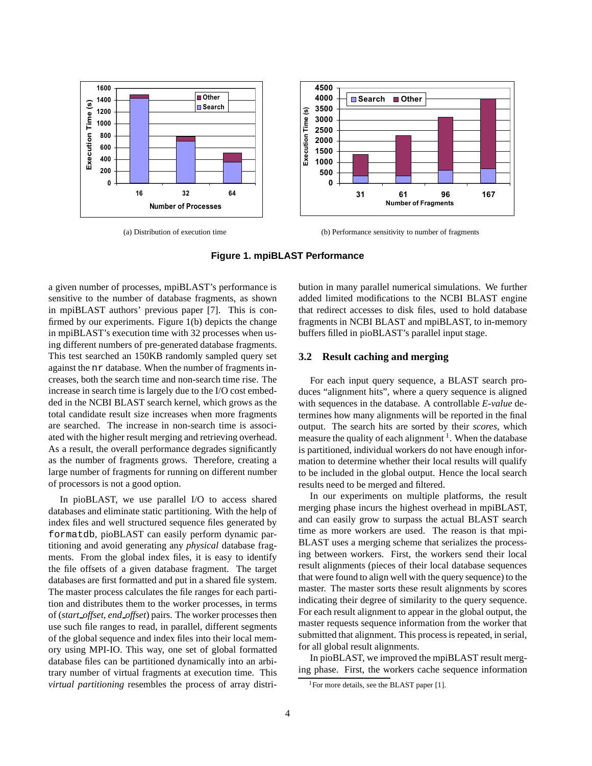

(a) Distribution of execution time



(b) Performance sensitivity to number of fragments



a given number of processes, mpiBLAST's performance is sensitive to the number of database fragments, as shown in mpiBLAST authors' previous paper [7]. This is confirmed by our experiments. Figure 1(b) depicts the change in mpiBLAST's execution time with 32 processes when using different numbers of pre-generated database fragments. This test searched an 150KB randomly sampled query set against the nr database. When the number of fragments increases, both the search time and non-search time rise. The increase in search time is largely due to the I/O cost embedded in the NCBI BLAST search kernel, which grows as the total candidate result size increases when more fragments are searched. The increase in non-search time is associated with the higher result merging and retrieving overhead. As a result, the overall performance degrades significantly as the number of fragments grows. Therefore, creating a large number of fragments for running on different number of processors is not a good option.

In pioBLAST, we use parallel I/O to access shared databases and eliminate static partitioning. With the help of index files and well structured sequence files generated by formatdb, pioBLAST can easily perform dynamic partitioning and avoid generating any *physical* database fragments. From the global index files, it is easy to identify the file offsets of a given database fragment. The target databases are first formatted and put in a shared file system. The master process calculates the file ranges for each partition and distributes them to the worker processes, in terms of (*start offset, end offset*) pairs. The worker processes then use such file ranges to read, in parallel, different segments of the global sequence and index files into their local memory using MPI-IO. This way, one set of global formatted database files can be partitioned dynamically into an arbitrary number of virtual fragments at execution time. This *virtual partitioning* resembles the process of array distribution in many parallel numerical simulations. We further added limited modifications to the NCBI BLAST engine that redirect accesses to disk files, used to hold database fragments in NCBI BLAST and mpiBLAST, to in-memory buffers filled in pioBLAST's parallel input stage.

#### **3.2 Result caching and merging**

For each input query sequence, a BLAST search produces "alignment hits", where a query sequence is aligned with sequences in the database. A controllable *E-value* determines how many alignments will be reported in the final output. The search hits are sorted by their *scores*, which measure the quality of each alignment  $<sup>1</sup>$ . When the database</sup> is partitioned, individual workers do not have enough information to determine whether their local results will qualify to be included in the global output. Hence the local search results need to be merged and filtered.

In our experiments on multiple platforms, the result merging phase incurs the highest overhead in mpiBLAST, and can easily grow to surpass the actual BLAST search time as more workers are used. The reason is that mpi-BLAST uses a merging scheme that serializes the processing between workers. First, the workers send their local result alignments (pieces of their local database sequences that were found to align well with the query sequence) to the master. The master sorts these result alignments by scores indicating their degree of similarity to the query sequence. For each result alignment to appear in the global output, the master requests sequence information from the worker that submitted that alignment. This process is repeated, in serial, for all global result alignments.

In pioBLAST, we improved the mpiBLAST result merging phase. First, the workers cache sequence information

<sup>&</sup>lt;sup>1</sup>For more details, see the BLAST paper [1].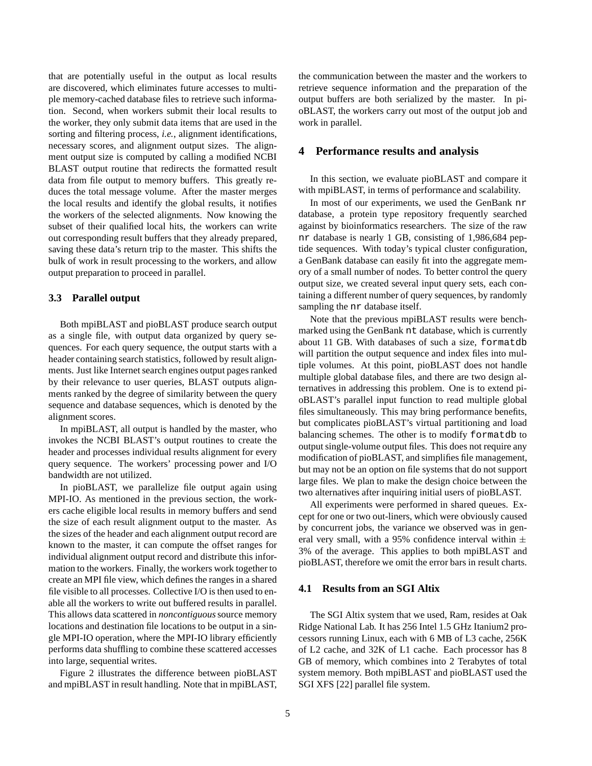that are potentially useful in the output as local results are discovered, which eliminates future accesses to multiple memory-cached database files to retrieve such information. Second, when workers submit their local results to the worker, they only submit data items that are used in the sorting and filtering process, *i.e.*, alignment identifications, necessary scores, and alignment output sizes. The alignment output size is computed by calling a modified NCBI BLAST output routine that redirects the formatted result data from file output to memory buffers. This greatly reduces the total message volume. After the master merges the local results and identify the global results, it notifies the workers of the selected alignments. Now knowing the subset of their qualified local hits, the workers can write out corresponding result buffers that they already prepared, saving these data's return trip to the master. This shifts the bulk of work in result processing to the workers, and allow output preparation to proceed in parallel.

#### **3.3 Parallel output**

Both mpiBLAST and pioBLAST produce search output as a single file, with output data organized by query sequences. For each query sequence, the output starts with a header containing search statistics, followed by result alignments. Just like Internet search engines output pages ranked by their relevance to user queries, BLAST outputs alignments ranked by the degree of similarity between the query sequence and database sequences, which is denoted by the alignment scores.

In mpiBLAST, all output is handled by the master, who invokes the NCBI BLAST's output routines to create the header and processes individual results alignment for every query sequence. The workers' processing power and I/O bandwidth are not utilized.

In pioBLAST, we parallelize file output again using MPI-IO. As mentioned in the previous section, the workers cache eligible local results in memory buffers and send the size of each result alignment output to the master. As the sizes of the header and each alignment output record are known to the master, it can compute the offset ranges for individual alignment output record and distribute this information to the workers. Finally, the workers work together to create an MPI file view, which defines the ranges in a shared file visible to all processes. Collective I/O is then used to enable all the workers to write out buffered results in parallel. This allows data scattered in *noncontiguous*source memory locations and destination file locations to be output in a single MPI-IO operation, where the MPI-IO library efficiently performs data shuffling to combine these scattered accesses into large, sequential writes.

Figure 2 illustrates the difference between pioBLAST and mpiBLAST in result handling. Note that in mpiBLAST, the communication between the master and the workers to retrieve sequence information and the preparation of the output buffers are both serialized by the master. In pioBLAST, the workers carry out most of the output job and work in parallel.

# **4 Performance results and analysis**

In this section, we evaluate pioBLAST and compare it with mpiBLAST, in terms of performance and scalability.

In most of our experiments, we used the GenBank nr database, a protein type repository frequently searched against by bioinformatics researchers. The size of the raw nr database is nearly 1 GB, consisting of 1,986,684 peptide sequences. With today's typical cluster configuration, a GenBank database can easily fit into the aggregate memory of a small number of nodes. To better control the query output size, we created several input query sets, each containing a different number of query sequences, by randomly sampling the nr database itself.

Note that the previous mpiBLAST results were benchmarked using the GenBank nt database, which is currently about 11 GB. With databases of such a size, formatdb will partition the output sequence and index files into multiple volumes. At this point, pioBLAST does not handle multiple global database files, and there are two design alternatives in addressing this problem. One is to extend pioBLAST's parallel input function to read multiple global files simultaneously. This may bring performance benefits, but complicates pioBLAST's virtual partitioning and load balancing schemes. The other is to modify formatdb to output single-volume output files. This does not require any modification of pioBLAST, and simplifies file management, but may not be an option on file systems that do not support large files. We plan to make the design choice between the two alternatives after inquiring initial users of pioBLAST.

All experiments were performed in shared queues. Except for one or two out-liners, which were obviously caused by concurrent jobs, the variance we observed was in general very small, with a 95% confidence interval within  $\pm$ 3% of the average. This applies to both mpiBLAST and pioBLAST, therefore we omit the error bars in result charts.

#### **4.1 Results from an SGI Altix**

The SGI Altix system that we used, Ram, resides at Oak Ridge National Lab. It has 256 Intel 1.5 GHz Itanium2 processors running Linux, each with 6 MB of L3 cache, 256K of L2 cache, and 32K of L1 cache. Each processor has 8 GB of memory, which combines into 2 Terabytes of total system memory. Both mpiBLAST and pioBLAST used the SGI XFS [22] parallel file system.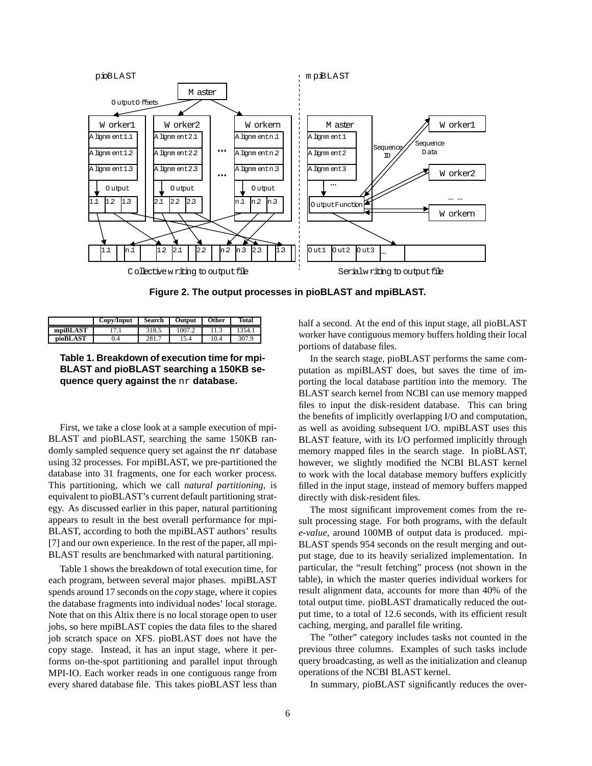

**Figure 2. The output processes in pioBLAST and mpiBLAST.**

|          | Copy/Input | Search | Output | Other | Total  |
|----------|------------|--------|--------|-------|--------|
| mpiBLAST |            | 318.5  | 1007.2 |       | 1354.1 |
| pioBLAST | 0.4        | 281.7  | 15.4   | 10.4  | 307.9  |

**Table 1. Breakdown of execution time for mpi-BLAST and pioBLAST searching a 150KB sequence query against the** nr **database.**

First, we take a close look at a sample execution of mpi-BLAST and pioBLAST, searching the same 150KB randomly sampled sequence query set against the nr database using 32 processes. For mpiBLAST, we pre-partitioned the database into 31 fragments, one for each worker process. This partitioning, which we call *natural partitioning*, is equivalent to pioBLAST's current default partitioning strategy. As discussed earlier in this paper, natural partitioning appears to result in the best overall performance for mpi-BLAST, according to both the mpiBLAST authors' results [7] and our own experience. In the rest of the paper, all mpi-BLAST results are benchmarked with natural partitioning.

Table 1 shows the breakdown of total execution time, for each program, between several major phases. mpiBLAST spends around 17 seconds on the *copy* stage, where it copies the database fragments into individual nodes' local storage. Note that on this Altix there is no local storage open to user jobs, so here mpiBLAST copies the data files to the shared job scratch space on XFS. pioBLAST does not have the copy stage. Instead, it has an input stage, where it performs on-the-spot partitioning and parallel input through MPI-IO. Each worker reads in one contiguous range from every shared database file. This takes pioBLAST less than half a second. At the end of this input stage, all pioBLAST worker have contiguous memory buffers holding their local portions of database files.

In the search stage, pioBLAST performs the same computation as mpiBLAST does, but saves the time of importing the local database partition into the memory. The BLAST search kernel from NCBI can use memory mapped files to input the disk-resident database. This can bring the benefits of implicitly overlapping I/O and computation, as well as avoiding subsequent I/O. mpiBLAST uses this BLAST feature, with its I/O performed implicitly through memory mapped files in the search stage. In pioBLAST, however, we slightly modified the NCBI BLAST kernel to work with the local database memory buffers explicitly filled in the input stage, instead of memory buffers mapped directly with disk-resident files.

The most significant improvement comes from the result processing stage. For both programs, with the default *e-value*, around 100MB of output data is produced. mpi-BLAST spends 954 seconds on the result merging and output stage, due to its heavily serialized implementation. In particular, the "result fetching" process (not shown in the table), in which the master queries individual workers for result alignment data, accounts for more than 40% of the total output time. pioBLAST dramatically reduced the output time, to a total of 12.6 seconds, with its efficient result caching, merging, and parallel file writing.

The "other" category includes tasks not counted in the previous three columns. Examples of such tasks include query broadcasting, as well as the initialization and cleanup operations of the NCBI BLAST kernel.

In summary, pioBLAST significantly reduces the over-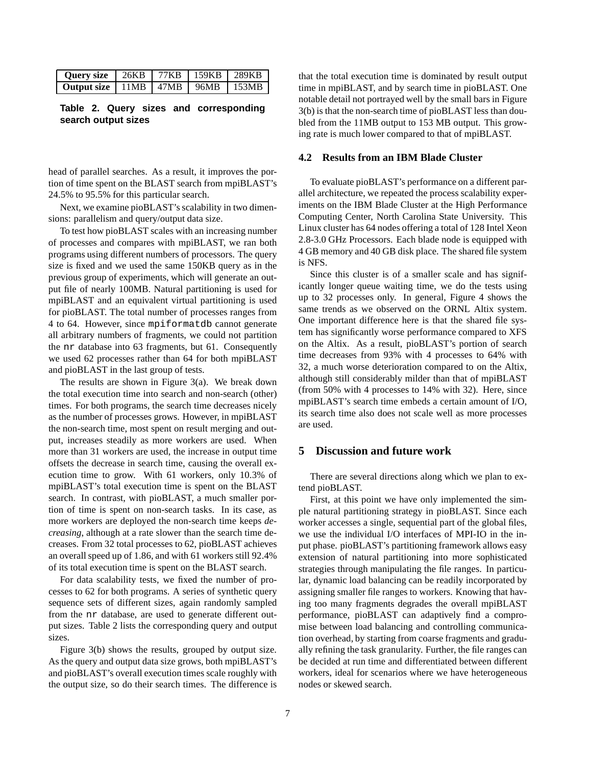| <b>Query size</b> | 26KB            | 77 K B | 159KB | 289KB |
|-------------------|-----------------|--------|-------|-------|
| Output size       | $11MB$   $47MB$ |        | 96MB  | 153MB |

**Table 2. Query sizes and corresponding search output sizes**

head of parallel searches. As a result, it improves the portion of time spent on the BLAST search from mpiBLAST's 24.5% to 95.5% for this particular search.

Next, we examine pioBLAST's scalability in two dimensions: parallelism and query/output data size.

To test how pioBLAST scales with an increasing number of processes and compares with mpiBLAST, we ran both programs using different numbers of processors. The query size is fixed and we used the same 150KB query as in the previous group of experiments, which will generate an output file of nearly 100MB. Natural partitioning is used for mpiBLAST and an equivalent virtual partitioning is used for pioBLAST. The total number of processes ranges from 4 to 64. However, since mpiformatdb cannot generate all arbitrary numbers of fragments, we could not partition the nr database into 63 fragments, but 61. Consequently we used 62 processes rather than 64 for both mpiBLAST and pioBLAST in the last group of tests.

The results are shown in Figure 3(a). We break down the total execution time into search and non-search (other) times. For both programs, the search time decreases nicely as the number of processes grows. However, in mpiBLAST the non-search time, most spent on result merging and output, increases steadily as more workers are used. When more than 31 workers are used, the increase in output time offsets the decrease in search time, causing the overall execution time to grow. With 61 workers, only 10.3% of mpiBLAST's total execution time is spent on the BLAST search. In contrast, with pioBLAST, a much smaller portion of time is spent on non-search tasks. In its case, as more workers are deployed the non-search time keeps *decreasing*, although at a rate slower than the search time decreases. From 32 total processes to 62, pioBLAST achieves an overall speed up of 1.86, and with 61 workers still 92.4% of its total execution time is spent on the BLAST search.

For data scalability tests, we fixed the number of processes to 62 for both programs. A series of synthetic query sequence sets of different sizes, again randomly sampled from the nr database, are used to generate different output sizes. Table 2 lists the corresponding query and output sizes.

Figure 3(b) shows the results, grouped by output size. As the query and output data size grows, both mpiBLAST's and pioBLAST's overall execution times scale roughly with the output size, so do their search times. The difference is that the total execution time is dominated by result output time in mpiBLAST, and by search time in pioBLAST. One notable detail not portrayed well by the small bars in Figure 3(b) is that the non-search time of pioBLAST less than doubled from the 11MB output to 153 MB output. This growing rate is much lower compared to that of mpiBLAST.

#### **4.2 Results from an IBM Blade Cluster**

To evaluate pioBLAST's performance on a different parallel architecture, we repeated the process scalability experiments on the IBM Blade Cluster at the High Performance Computing Center, North Carolina State University. This Linux cluster has 64 nodes offering a total of 128 Intel Xeon 2.8-3.0 GHz Processors. Each blade node is equipped with 4 GB memory and 40 GB disk place. The shared file system is NFS.

Since this cluster is of a smaller scale and has significantly longer queue waiting time, we do the tests using up to 32 processes only. In general, Figure 4 shows the same trends as we observed on the ORNL Altix system. One important difference here is that the shared file system has significantly worse performance compared to XFS on the Altix. As a result, pioBLAST's portion of search time decreases from 93% with 4 processes to 64% with 32, a much worse deterioration compared to on the Altix, although still considerably milder than that of mpiBLAST (from 50% with 4 processes to 14% with 32). Here, since mpiBLAST's search time embeds a certain amount of I/O, its search time also does not scale well as more processes are used.

#### **5 Discussion and future work**

There are several directions along which we plan to extend pioBLAST.

First, at this point we have only implemented the simple natural partitioning strategy in pioBLAST. Since each worker accesses a single, sequential part of the global files, we use the individual I/O interfaces of MPI-IO in the input phase. pioBLAST's partitioning framework allows easy extension of natural partitioning into more sophisticated strategies through manipulating the file ranges. In particular, dynamic load balancing can be readily incorporated by assigning smaller file ranges to workers. Knowing that having too many fragments degrades the overall mpiBLAST performance, pioBLAST can adaptively find a compromise between load balancing and controlling communication overhead, by starting from coarse fragments and gradually refining the task granularity. Further, the file ranges can be decided at run time and differentiated between different workers, ideal for scenarios where we have heterogeneous nodes or skewed search.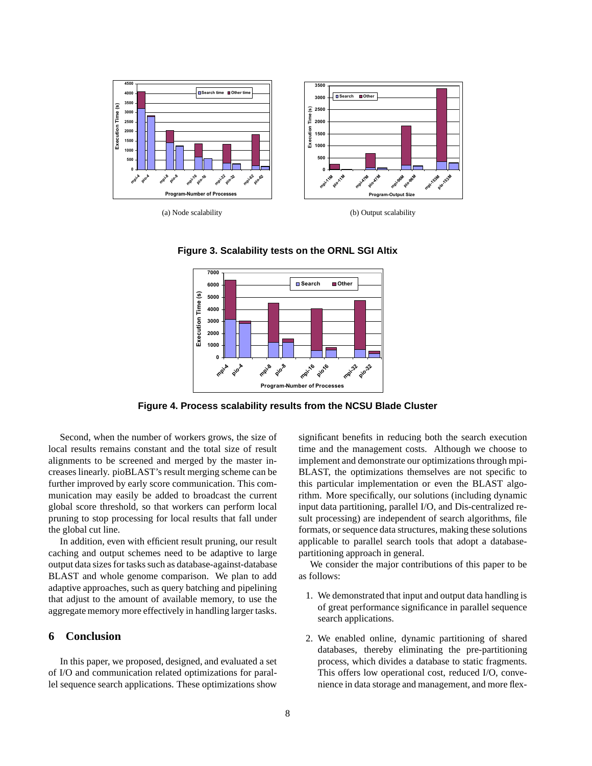

(a) Node scalability

(b) Output scalability



#### **Figure 3. Scalability tests on the ORNL SGI Altix**

**Figure 4. Process scalability results from the NCSU Blade Cluster**

Second, when the number of workers grows, the size of local results remains constant and the total size of result alignments to be screened and merged by the master increases linearly. pioBLAST's result merging scheme can be further improved by early score communication. This communication may easily be added to broadcast the current global score threshold, so that workers can perform local pruning to stop processing for local results that fall under the global cut line.

In addition, even with efficient result pruning, our result caching and output schemes need to be adaptive to large output data sizes for tasks such as database-against-database BLAST and whole genome comparison. We plan to add adaptive approaches, such as query batching and pipelining that adjust to the amount of available memory, to use the aggregate memory more effectively in handling larger tasks.

# **6 Conclusion**

In this paper, we proposed, designed, and evaluated a set of I/O and communication related optimizations for parallel sequence search applications. These optimizations show significant benefits in reducing both the search execution time and the management costs. Although we choose to implement and demonstrate our optimizations through mpi-BLAST, the optimizations themselves are not specific to this particular implementation or even the BLAST algorithm. More specifically, our solutions (including dynamic input data partitioning, parallel I/O, and Dis-centralized result processing) are independent of search algorithms, file formats, or sequence data structures, making these solutions applicable to parallel search tools that adopt a databasepartitioning approach in general.

We consider the major contributions of this paper to be as follows:

- 1. We demonstrated that input and output data handling is of great performance significance in parallel sequence search applications.
- 2. We enabled online, dynamic partitioning of shared databases, thereby eliminating the pre-partitioning process, which divides a database to static fragments. This offers low operational cost, reduced I/O, convenience in data storage and management, and more flex-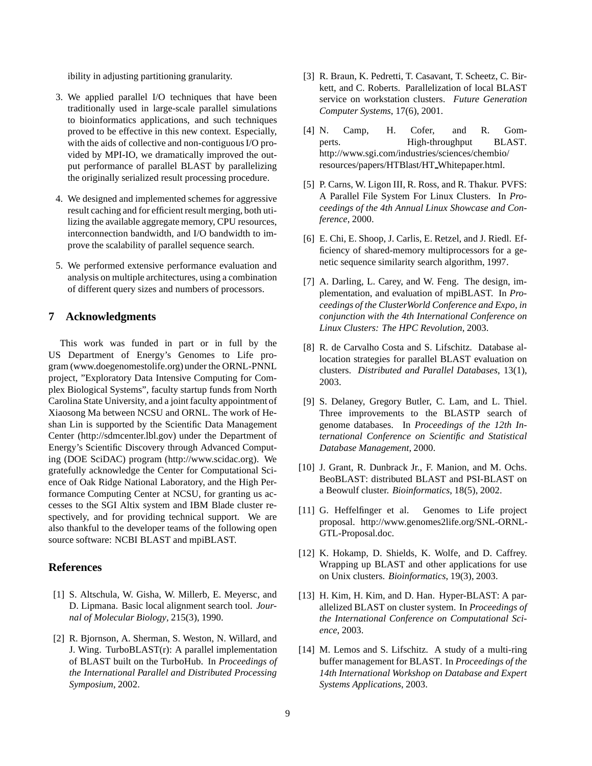ibility in adjusting partitioning granularity.

- 3. We applied parallel I/O techniques that have been traditionally used in large-scale parallel simulations to bioinformatics applications, and such techniques proved to be effective in this new context. Especially, with the aids of collective and non-contiguous I/O provided by MPI-IO, we dramatically improved the output performance of parallel BLAST by parallelizing the originally serialized result processing procedure.
- 4. We designed and implemented schemes for aggressive result caching and for efficient result merging, both utilizing the available aggregate memory, CPU resources, interconnection bandwidth, and I/O bandwidth to improve the scalability of parallel sequence search.
- 5. We performed extensive performance evaluation and analysis on multiple architectures, using a combination of different query sizes and numbers of processors.

# **7 Acknowledgments**

This work was funded in part or in full by the US Department of Energy's Genomes to Life program (www.doegenomestolife.org) under the ORNL-PNNL project, "Exploratory Data Intensive Computing for Complex Biological Systems", faculty startup funds from North Carolina State University, and a joint faculty appointment of Xiaosong Ma between NCSU and ORNL. The work of Heshan Lin is supported by the Scientific Data Management Center (http://sdmcenter.lbl.gov) under the Department of Energy's Scientific Discovery through Advanced Computing (DOE SciDAC) program (http://www.scidac.org). We gratefully acknowledge the Center for Computational Science of Oak Ridge National Laboratory, and the High Performance Computing Center at NCSU, for granting us accesses to the SGI Altix system and IBM Blade cluster respectively, and for providing technical support. We are also thankful to the developer teams of the following open source software: NCBI BLAST and mpiBLAST.

# **References**

- [1] S. Altschula, W. Gisha, W. Millerb, E. Meyersc, and D. Lipmana. Basic local alignment search tool. *Journal of Molecular Biology*, 215(3), 1990.
- [2] R. Bjornson, A. Sherman, S. Weston, N. Willard, and J. Wing. TurboBLAST(r): A parallel implementation of BLAST built on the TurboHub. In *Proceedings of the International Parallel and Distributed Processing Symposium*, 2002.
- [3] R. Braun, K. Pedretti, T. Casavant, T. Scheetz, C. Birkett, and C. Roberts. Parallelization of local BLAST service on workstation clusters. *Future Generation Computer Systems*, 17(6), 2001.
- [4] N. Camp, H. Cofer, and R. Gomperts. High-throughput BLAST. http://www.sgi.com/industries/sciences/chembio/ resources/papers/HTBlast/HT Whitepaper.html.
- [5] P. Carns, W. Ligon III, R. Ross, and R. Thakur. PVFS: A Parallel File System For Linux Clusters. In *Proceedings of the 4th Annual Linux Showcase and Conference*, 2000.
- [6] E. Chi, E. Shoop, J. Carlis, E. Retzel, and J. Riedl. Efficiency of shared-memory multiprocessors for a genetic sequence similarity search algorithm, 1997.
- [7] A. Darling, L. Carey, and W. Feng. The design, implementation, and evaluation of mpiBLAST. In *Proceedings of the ClusterWorld Conference and Expo, in conjunction with the 4th International Conference on Linux Clusters: The HPC Revolution*, 2003.
- [8] R. de Carvalho Costa and S. Lifschitz. Database allocation strategies for parallel BLAST evaluation on clusters. *Distributed and Parallel Databases*, 13(1), 2003.
- [9] S. Delaney, Gregory Butler, C. Lam, and L. Thiel. Three improvements to the BLASTP search of genome databases. In *Proceedings of the 12th International Conference on Scientific and Statistical Database Management*, 2000.
- [10] J. Grant, R. Dunbrack Jr., F. Manion, and M. Ochs. BeoBLAST: distributed BLAST and PSI-BLAST on a Beowulf cluster. *Bioinformatics*, 18(5), 2002.
- [11] G. Heffelfinger et al. Genomes to Life project proposal. http://www.genomes2life.org/SNL-ORNL-GTL-Proposal.doc.
- [12] K. Hokamp, D. Shields, K. Wolfe, and D. Caffrey. Wrapping up BLAST and other applications for use on Unix clusters. *Bioinformatics*, 19(3), 2003.
- [13] H. Kim, H. Kim, and D. Han. Hyper-BLAST: A parallelized BLAST on cluster system. In *Proceedings of the International Conference on Computational Science*, 2003.
- [14] M. Lemos and S. Lifschitz. A study of a multi-ring buffer management for BLAST. In *Proceedings of the 14th International Workshop on Database and Expert Systems Applications*, 2003.